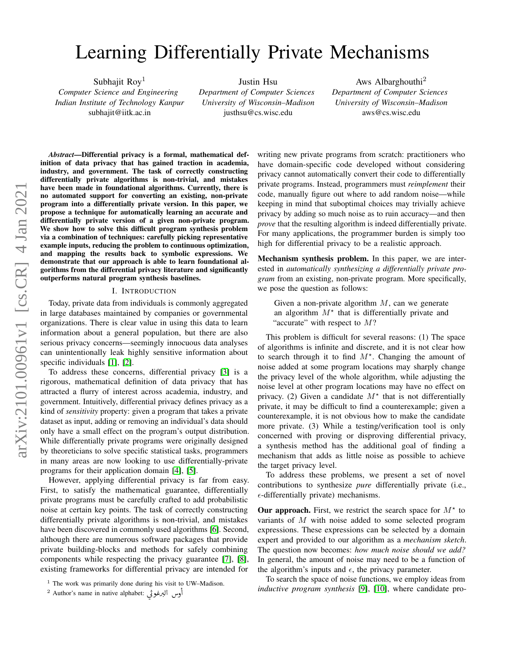# Learning Differentially Private Mechanisms

Subhajit Roy<sup>1</sup> *Computer Science and Engineering Indian Institute of Technology Kanpur* subhajit@iitk.ac.in

Justin Hsu *Department of Computer Sciences University of Wisconsin–Madison* justhsu@cs.wisc.edu

Aws Albarghouthi<sup>2</sup> *Department of Computer Sciences University of Wisconsin–Madison* aws@cs.wisc.edu

*Abstract*—Differential privacy is a formal, mathematical definition of data privacy that has gained traction in academia, industry, and government. The task of correctly constructing differentially private algorithms is non-trivial, and mistakes have been made in foundational algorithms. Currently, there is no automated support for converting an existing, non-private program into a differentially private version. In this paper, we propose a technique for automatically learning an accurate and differentially private version of a given non-private program. We show how to solve this difficult program synthesis problem via a combination of techniques: carefully picking representative example inputs, reducing the problem to continuous optimization, and mapping the results back to symbolic expressions. We demonstrate that our approach is able to learn foundational algorithms from the differential privacy literature and significantly outperforms natural program synthesis baselines.

## I. INTRODUCTION

Today, private data from individuals is commonly aggregated in large databases maintained by companies or governmental organizations. There is clear value in using this data to learn information about a general population, but there are also serious privacy concerns—seemingly innocuous data analyses can unintentionally leak highly sensitive information about specific individuals [\[1\]](#page-12-0), [\[2\]](#page-12-1).

To address these concerns, differential privacy [\[3\]](#page-13-0) is a rigorous, mathematical definition of data privacy that has attracted a flurry of interest across academia, industry, and government. Intuitively, differential privacy defines privacy as a kind of *sensitivity* property: given a program that takes a private dataset as input, adding or removing an individual's data should only have a small effect on the program's output distribution. While differentially private programs were originally designed by theoreticians to solve specific statistical tasks, programmers in many areas are now looking to use differentially-private programs for their application domain [\[4\]](#page-13-1), [\[5\]](#page-13-2).

However, applying differential privacy is far from easy. First, to satisfy the mathematical guarantee, differentially private programs must be carefully crafted to add probabilistic noise at certain key points. The task of correctly constructing differentially private algorithms is non-trivial, and mistakes have been discovered in commonly used algorithms [\[6\]](#page-13-3). Second, although there are numerous software packages that provide private building-blocks and methods for safely combining components while respecting the privacy guarantee [\[7\]](#page-13-4), [\[8\]](#page-13-5), existing frameworks for differential privacy are intended for

writing new private programs from scratch: practitioners who have domain-specific code developed without considering privacy cannot automatically convert their code to differentially private programs. Instead, programmers must *reimplement* their code, manually figure out where to add random noise—while keeping in mind that suboptimal choices may trivially achieve privacy by adding so much noise as to ruin accuracy—and then *prove* that the resulting algorithm is indeed differentially private. For many applications, the programmer burden is simply too high for differential privacy to be a realistic approach.

Mechanism synthesis problem. In this paper, we are interested in *automatically synthesizing a differentially private program* from an existing, non-private program. More specifically, we pose the question as follows:

Given a non-private algorithm  $M$ , can we generate an algorithm  $M^*$  that is differentially private and "accurate" with respect to  $M$ ?

This problem is difficult for several reasons: (1) The space of algorithms is infinite and discrete, and it is not clear how to search through it to find  $M^*$ . Changing the amount of noise added at some program locations may sharply change the privacy level of the whole algorithm, while adjusting the noise level at other program locations may have no effect on privacy. (2) Given a candidate  $M^*$  that is not differentially private, it may be difficult to find a counterexample; given a counterexample, it is not obvious how to make the candidate more private. (3) While a testing/verification tool is only concerned with proving or disproving differential privacy, a synthesis method has the additional goal of finding a mechanism that adds as little noise as possible to achieve the target privacy level.

To address these problems, we present a set of novel contributions to synthesize *pure* differentially private (i.e.,  $\epsilon$ -differentially private) mechanisms.

Our approach. First, we restrict the search space for  $M^*$  to variants of M with noise added to some selected program expressions. These expressions can be selected by a domain expert and provided to our algorithm as a *mechanism sketch*. The question now becomes: *how much noise should we add?* In general, the amount of noise may need to be a function of the algorithm's inputs and  $\epsilon$ , the privacy parameter.

To search the space of noise functions, we employ ideas from *inductive program synthesis* [\[9\]](#page-13-6), [\[10\]](#page-13-7), where candidate pro-

<sup>&</sup>lt;sup>1</sup> The work was primarily done during his visit to UW–Madison. **ջ**<br>^ C<br>c

<sup>2</sup> Author's name in native alphabet: ú Gñ «Q Ë@ ð Į . @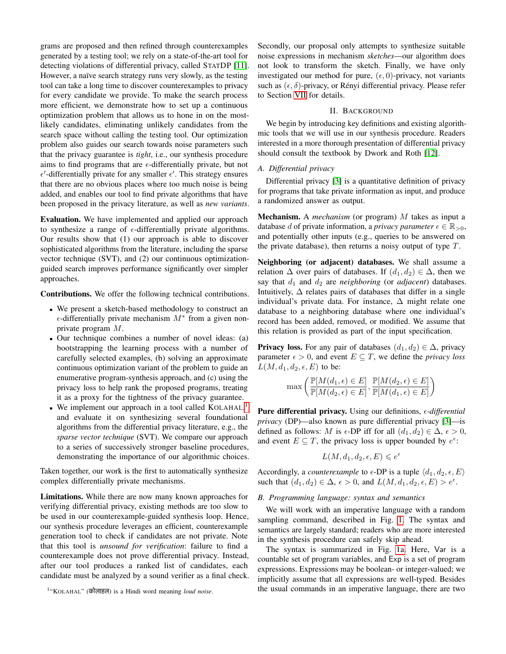grams are proposed and then refined through counterexamples generated by a testing tool; we rely on a state-of-the-art tool for detecting violations of differential privacy, called STATDP [\[11\]](#page-13-8). However, a naïve search strategy runs very slowly, as the testing tool can take a long time to discover counterexamples to privacy for every candidate we provide. To make the search process more efficient, we demonstrate how to set up a continuous optimization problem that allows us to hone in on the mostlikely candidates, eliminating unlikely candidates from the search space without calling the testing tool. Our optimization problem also guides our search towards noise parameters such that the privacy guarantee is *tight*, i.e., our synthesis procedure aims to find programs that are  $\epsilon$ -differentially private, but not  $\epsilon'$ -differentially private for any smaller  $\epsilon'$ . This strategy ensures that there are no obvious places where too much noise is being added, and enables our tool to find private algorithms that have been proposed in the privacy literature, as well as *new variants*.

Evaluation. We have implemented and applied our approach to synthesize a range of  $\epsilon$ -differentially private algorithms. Our results show that (1) our approach is able to discover sophisticated algorithms from the literature, including the sparse vector technique (SVT), and (2) our continuous optimizationguided search improves performance significantly over simpler approaches.

Contributions. We offer the following technical contributions.

- We present a sketch-based methodology to construct an  $\epsilon$ -differentially private mechanism  $M^*$  from a given nonprivate program M.
- Our technique combines a number of novel ideas: (a) bootstrapping the learning process with a number of carefully selected examples, (b) solving an approximate continuous optimization variant of the problem to guide an enumerative program-synthesis approach, and (c) using the privacy loss to help rank the proposed programs, treating it as a proxy for the tightness of the privacy guarantee.
- We implement our approach in a tool called KOLAHAL,<sup>[1](#page-1-0)</sup> and evaluate it on synthesizing several foundational algorithms from the differential privacy literature, e.g., the *sparse vector technique* (SVT). We compare our approach to a series of successively stronger baseline procedures, demonstrating the importance of our algorithmic choices.

Taken together, our work is the first to automatically synthesize complex differentially private mechanisms.

Limitations. While there are now many known approaches for verifying differential privacy, existing methods are too slow to be used in our counterexample-guided synthesis loop. Hence, our synthesis procedure leverages an efficient, counterexample generation tool to check if candidates are not private. Note that this tool is *unsound for verification*: failure to find a counterexample does not prove differential privacy. Instead, after our tool produces a ranked list of candidates, each candidate must be analyzed by a sound verifier as a final check.

Secondly, our proposal only attempts to synthesize suitable noise expressions in mechanism *sketches*—our algorithm does not look to transform the sketch. Finally, we have only investigated our method for pure,  $(\epsilon, 0)$ -privacy, not variants such as  $(\epsilon, \delta)$ -privacy, or Rényi differential privacy. Please refer to Section [VII](#page-12-2) for details.

## II. BACKGROUND

We begin by introducing key definitions and existing algorithmic tools that we will use in our synthesis procedure. Readers interested in a more thorough presentation of differential privacy should consult the textbook by Dwork and Roth [\[12\]](#page-13-9).

## *A. Differential privacy*

Differential privacy [\[3\]](#page-13-0) is a quantitative definition of privacy for programs that take private information as input, and produce a randomized answer as output.

Mechanism. A *mechanism* (or program) M takes as input a database d of private information, a *privacy parameter*  $\epsilon \in \mathbb{R}_{>0}$ , and potentially other inputs (e.g., queries to be answered on the private database), then returns a noisy output of type  $T$ .

Neighboring (or adjacent) databases. We shall assume a relation  $\Delta$  over pairs of databases. If  $(d_1, d_2) \in \Delta$ , then we say that  $d_1$  and  $d_2$  are *neighboring* (or *adjacent*) databases. Intuitively,  $\Delta$  relates pairs of databases that differ in a single individual's private data. For instance,  $\Delta$  might relate one database to a neighboring database where one individual's record has been added, removed, or modified. We assume that this relation is provided as part of the input specification.

**Privacy loss.** For any pair of databases  $(d_1, d_2) \in \Delta$ , privacy parameter  $\epsilon > 0$ , and event  $E \subseteq T$ , we define the *privacy loss*  $L(M, d_1, d_2, \epsilon, E)$  to be:

$$
\max\left(\frac{\mathbb{P}[M(d_1,\epsilon)\in E]}{\mathbb{P}[M(d_2,\epsilon)\in E]}, \frac{\mathbb{P}[M(d_2,\epsilon)\in E]}{\mathbb{P}[M(d_1,\epsilon)\in E]}\right)
$$

**Pure differential privacy.** Using our definitions,  $\epsilon$ -differential *privacy* (DP)—also known as pure differential privacy [\[3\]](#page-13-0)—is defined as follows: M is  $\epsilon$ -DP iff for all  $(d_1, d_2) \in \Delta$ ,  $\epsilon > 0$ , and event  $E \subseteq T$ , the privacy loss is upper bounded by  $e^{\epsilon}$ :

$$
L(M, d_1, d_2, \epsilon, E) \leqslant e^{\epsilon}
$$

Accordingly, a *counterexample* to  $\epsilon$ -DP is a tuple  $\langle d_1, d_2, \epsilon, E \rangle$ such that  $(d_1, d_2) \in \Delta$ ,  $\epsilon > 0$ , and  $L(M, d_1, d_2, \epsilon, E) > e^{\epsilon}$ .

### *B. Programming language: syntax and semantics*

We will work with an imperative language with a random sampling command, described in Fig. [1.](#page-2-0) The syntax and semantics are largely standard; readers who are more interested in the synthesis procedure can safely skip ahead.

The syntax is summarized in Fig. [1a.](#page-2-0) Here, Var is a countable set of program variables, and Exp is a set of program expressions. Expressions may be boolean- or integer-valued; we implicitly assume that all expressions are well-typed. Besides the usual commands in an imperative language, there are two

<span id="page-1-0"></span><sup>&</sup>lt;sup>1</sup> "KOLAHAL" (कोलाहल) is a Hindi word meaning *loud noise*.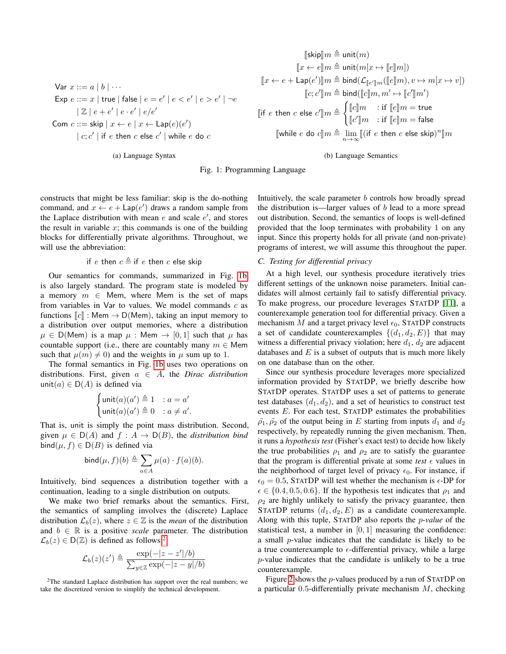<span id="page-2-0"></span>Var  $x ::= a | b | \cdots$  $\textsf{Exp}\ e ::= x \mid \textsf{true} \mid \textsf{false} \mid e = e' \mid e < e' \mid e > e' \mid \neg e$  $|\mathbb{Z} | e + e' | e \cdot e' | e / e'$ Com  $c ::=$  skip  $|x \leftarrow e | x \leftarrow \textsf{Lap}(e)(e')$  $\mid$   $c;c' \mid$  if  $e$  then  $c$  else  $c' \mid$  while  $e$  do  $c$ 

(a) Language Syntax

$$
[\![\mathsf{skip}]\!]m \triangleq \mathsf{unit}(m)\\[1ex] \mathbb{I}x \leftarrow e \mathbb{I}m \triangleq \mathsf{unit}(m[x \mapsto [\![e]\!]m])\\[1ex] \mathbb{I}x \leftarrow e + \mathsf{Lap}(e') \mathbb{I}m \triangleq \mathsf{bind}(\mathcal{L}_{[\![e']\!]m}([\![e]\!]m), v \mapsto m[x \mapsto v])\\[1ex] \mathbb{I}c; c'\mathbb{I}m \triangleq \mathsf{bind}([\![c]\!]m, m' \mapsto [\![c']\!]m')
$$
  

(b) Language Semantics

Fig. 1: Programming Language

constructs that might be less familiar: skip is the do-nothing command, and  $x \leftarrow e + \text{Lap}(e')$  draws a random sample from the Laplace distribution with mean  $e$  and scale  $e'$ , and stores the result in variable  $x$ ; this commands is one of the building blocks for differentially private algorithms. Throughout, we will use the abbreviation:

if e then 
$$
c \triangleq
$$
 if e then c else skip

Our semantics for commands, summarized in Fig. [1b,](#page-2-0) is also largely standard. The program state is modeled by a memory  $m \in$  Mem, where Mem is the set of maps from variables in Var to values. We model commands  $c$  as functions  $\llbracket c \rrbracket$  : Mem  $\rightarrow$  D(Mem), taking an input memory to a distribution over output memories, where a distribution  $\mu \in D(Mem)$  is a map  $\mu$ : Mem  $\rightarrow [0,1]$  such that  $\mu$  has countable support (i.e., there are countably many  $m \in M$ em such that  $\mu(m) \neq 0$  and the weights in  $\mu$  sum up to 1.

The formal semantics in Fig. [1b](#page-2-0) uses two operations on distributions. First, given  $a \in A$ , the *Dirac distribution* unit(a)  $\in$  D(A) is defined via

$$
\begin{cases}\n\text{unit}(a)(a') \triangleq 1 & : a = a' \\
\text{unit}(a)(a') \triangleq 0 & : a \neq a'.\n\end{cases}
$$

That is, unit is simply the point mass distribution. Second, given  $\mu \in D(A)$  and  $f : A \rightarrow D(B)$ , the *distribution bind* bind $(\mu, f) \in D(B)$  is defined via

$$
\text{bind}(\mu, f)(b) \triangleq \sum_{a \in A} \mu(a) \cdot f(a)(b).
$$

Intuitively, bind sequences a distribution together with a continuation, leading to a single distribution on outputs.

We make two brief remarks about the semantics. First, the semantics of sampling involves the (discrete) Laplace distribution  $\mathcal{L}_b(z)$ , where  $z \in \mathbb{Z}$  is the *mean* of the distribution and  $b \in \mathbb{R}$  is a positive *scale* parameter. The distribution  $\mathcal{L}_b(z) \in D(\mathbb{Z})$  is defined as follows:<sup>[2](#page-2-1)</sup>

$$
\mathcal{L}_b(z)(z') \triangleq \frac{\exp(-|z-z'|/b)}{\sum_{y \in \mathbb{Z}} \exp(-|z-y|/b)}
$$

<span id="page-2-1"></span> $2$ The standard Laplace distribution has support over the real numbers; we take the discretized version to simplify the technical development.

Intuitively, the scale parameter b controls how broadly spread the distribution is—larger values of  $b$  lead to a more spread out distribution. Second, the semantics of loops is well-defined provided that the loop terminates with probability 1 on any input. Since this property holds for all private (and non-private) programs of interest, we will assume this throughout the paper.

#### *C. Testing for differential privacy*

At a high level, our synthesis procedure iteratively tries different settings of the unknown noise parameters. Initial candidates will almost certainly fail to satisfy differential privacy. To make progress, our procedure leverages STATDP [\[11\]](#page-13-8), a counterexample generation tool for differential privacy. Given a mechanism M and a target privacy level  $\epsilon_0$ , STATDP constructs a set of candidate counterexamples  $\{(d_1, d_2, E)\}\$  that may witness a differential privacy violation; here  $d_1$ ,  $d_2$  are adjacent databases and  $E$  is a subset of outputs that is much more likely on one database than on the other.

Since our synthesis procedure leverages more specialized information provided by STATDP, we briefly describe how STATDP operates. STATDP uses a set of patterns to generate test databases  $(d_1, d_2)$ , and a set of heuristics to construct test events E. For each test, STATDP estimates the probabilities  $\tilde{\rho_1}, \tilde{\rho_2}$  of the output being in E starting from inputs  $d_1$  and  $d_2$ respectively, by repeatedly running the given mechanism. Then, it runs a *hypothesis test* (Fisher's exact test) to decide how likely the true probabilities  $\rho_1$  and  $\rho_2$  are to satisfy the guarantee that the program is differential private at some *test*  $\epsilon$  values in the neighborhood of target level of privacy  $\epsilon_0$ . For instance, if  $\epsilon_0 = 0.5$ , STATDP will test whether the mechanism is  $\epsilon$ -DP for  $\epsilon \in \{0.4, 0.5, 0.6\}$ . If the hypothesis test indicates that  $\rho_1$  and  $\rho_2$  are highly unlikely to satisfy the privacy guarantee, then STATDP returns  $(d_1, d_2, E)$  as a candidate counterexample. Along with this tuple, STATDP also reports the p-*value* of the statistical test, a number in  $[0, 1]$  measuring the confidence: a small p-value indicates that the candidate is likely to be a true counterexample to  $\epsilon$ -differential privacy, while a large p-value indicates that the candidate is unlikely to be a true counterexample.

Figure [2](#page-3-0) shows the p-values produced by a run of STATDP on a particular  $0.5$ -differentially private mechanism  $M$ , checking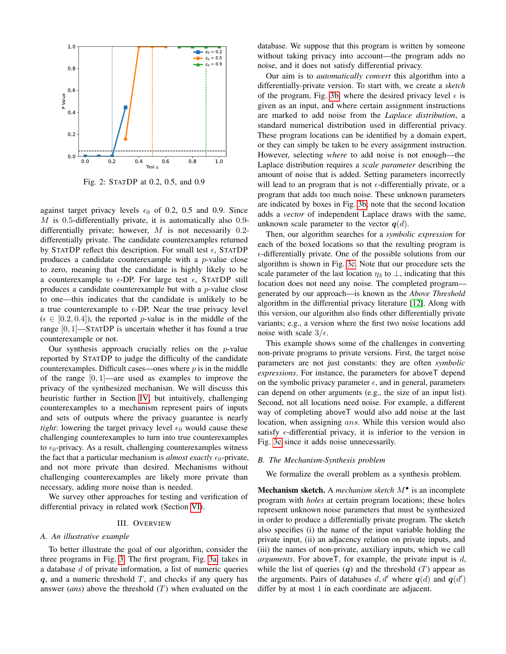<span id="page-3-0"></span>

Fig. 2: STATDP at 0.2, 0.5, and 0.9

against target privacy levels  $\epsilon_0$  of 0.2, 0.5 and 0.9. Since  $M$  is 0.5-differentially private, it is automatically also 0.9differentially private; however,  $M$  is not necessarily 0.2differentially private. The candidate counterexamples returned by STATDP reflect this description. For small test  $\epsilon$ , STATDP produces a candidate counterexample with a p-value close to zero, meaning that the candidate is highly likely to be a counterexample to  $\epsilon$ -DP. For large test  $\epsilon$ , STATDP still produces a candidate counterexample but with a  $p$ -value close to one—this indicates that the candidate is unlikely to be a true counterexample to  $\epsilon$ -DP. Near the true privacy level  $(\epsilon \in [0.2, 0.4])$ , the reported p-value is in the middle of the range  $[0, 1]$ —STATDP is uncertain whether it has found a true counterexample or not.

Our synthesis approach crucially relies on the  $p$ -value reported by STATDP to judge the difficulty of the candidate counterexamples. Difficult cases—ones where  $p$  is in the middle of the range  $[0, 1]$ —are used as examples to improve the privacy of the synthesized mechanism. We will discuss this heuristic further in Section [IV,](#page-4-0) but intuitively, challenging counterexamples to a mechanism represent pairs of inputs and sets of outputs where the privacy guarantee is nearly *tight*: lowering the target privacy level  $\epsilon_0$  would cause these challenging counterexamples to turn into true counterexamples to  $\epsilon_0$ -privacy. As a result, challenging counterexamples witness the fact that a particular mechanism is *almost exactly*  $\epsilon_0$ -private, and not more private than desired. Mechanisms without challenging counterexamples are likely more private than necessary, adding more noise than is needed.

We survey other approaches for testing and verification of differential privacy in related work (Section [VI\)](#page-11-0).

## III. OVERVIEW

## <span id="page-3-1"></span>*A. An illustrative example*

To better illustrate the goal of our algorithm, consider the three programs in Fig. [3.](#page-4-1) The first program, Fig. [3a,](#page-4-1) takes in a database d of private information, a list of numeric queries  $q$ , and a numeric threshold  $T$ , and checks if any query has answer (*ans*) above the threshold (T) when evaluated on the database. We suppose that this program is written by someone without taking privacy into account—the program adds no noise, and it does not satisfy differential privacy.

Our aim is to *automatically convert* this algorithm into a differentially-private version. To start with, we create a *sketch* of the program, Fig. [3b,](#page-4-1) where the desired privacy level  $\epsilon$  is given as an input, and where certain assignment instructions are marked to add noise from the *Laplace distribution*, a standard numerical distribution used in differential privacy. These program locations can be identified by a domain expert, or they can simply be taken to be every assignment instruction. However, selecting *where* to add noise is not enough—the Laplace distribution requires a *scale parameter* describing the amount of noise that is added. Setting parameters incorrectly will lead to an program that is not  $\epsilon$ -differentially private, or a program that adds too much noise. These unknown parameters are indicated by boxes in Fig. [3b;](#page-4-1) note that the second location adds a *vector* of independent Laplace draws with the same, unknown scale parameter to the vector  $q(d)$ .

Then, our algorithm searches for a *symbolic expression* for each of the boxed locations so that the resulting program is  $\epsilon$ -differentially private. One of the possible solutions from our algorithm is shown in Fig. [3c.](#page-4-1) Note that our procedure sets the scale parameter of the last location  $\eta_3$  to  $\perp$ , indicating that this location does not need any noise. The completed program generated by our approach—is known as the *Above Threshold* algorithm in the differential privacy literature [\[12\]](#page-13-9). Along with this version, our algorithm also finds other differentially private variants; e.g., a version where the first two noise locations add noise with scale  $3/\epsilon$ .

This example shows some of the challenges in converting non-private programs to private versions. First, the target noise parameters are not just constants: they are often *symbolic expressions*. For instance, the parameters for aboveT depend on the symbolic privacy parameter  $\epsilon$ , and in general, parameters can depend on other arguments (e.g., the size of an input list). Second, not all locations need noise. For example, a different way of completing aboveT would also add noise at the last location, when assigning ans. While this version would also satisfy  $\epsilon$ -differential privacy, it is inferior to the version in Fig. [3c](#page-4-1) since it adds noise unnecessarily.

#### *B. The Mechanism-Synthesis problem*

We formalize the overall problem as a synthesis problem.

Mechanism sketch. A *mechanism sketch* M• is an incomplete program with *holes* at certain program locations; these holes represent unknown noise parameters that must be synthesized in order to produce a differentially private program. The sketch also specifies (i) the name of the input variable holding the private input, (ii) an adjacency relation on private inputs, and (iii) the names of non-private, auxiliary inputs, which we call *arguments*. For aboveT, for example, the private input is d, while the list of queries  $(q)$  and the threshold  $(T)$  appear as the arguments. Pairs of databases  $d, d'$  where  $q(d)$  and  $q(d')$ differ by at most 1 in each coordinate are adjacent.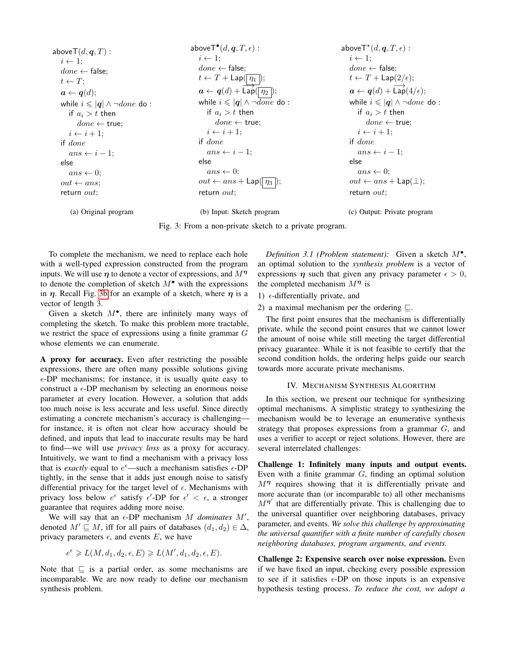<span id="page-4-1"></span>
$$
\begin{array}{llllll} \text{aboveT}(d,q,T): & \text{aboveT}^{\bullet}(d,q,T,\epsilon): & \text{aboveT}^{\bullet}(d,q,T,\epsilon): & \text{aboveT}^{\bullet}(d,q,T,\epsilon): & \text{aboveT}^{\bullet}(d,q,T,\epsilon): & \text{aboveT}^{\bullet}(d,q,T,\epsilon): & \text{aboveT}^{\bullet}(d,q,T,\epsilon): & \text{aboveT}^{\bullet}(d,q,T,\epsilon): & \text{aboveT}^{\bullet}(d,q,T,\epsilon): & \text{aboveT}^{\bullet}(d,q,T,\epsilon): & \text{aboveT}^{\bullet}(d,q,T,\epsilon): & \text{aboveT}^{\bullet}(d,q,T,\epsilon): & \text{aboveT}^{\bullet}(d,q,T,\epsilon): & \text{aboveT}^{\bullet}(d,q,T,\epsilon): & \text{aboveT}^{\bullet}(d,q,T,\epsilon): & \text{aboveT}^{\bullet}(d,q,T,\epsilon): & \text{aboveT}^{\bullet}(d,q,T,\epsilon): & \text{aboveT}^{\bullet}(d,q,T,\epsilon): & \text{aboveT}^{\bullet}(d,q,T,\epsilon): & \text{aboveT}^{\bullet}(d,q,T,\epsilon): & \text{aboveT}^{\bullet}(d,q,T,\epsilon): & \text{aboveT}^{\bullet}(d,q,T,\epsilon): & \text{aboveT}^{\bullet}(d,q,T,\epsilon): & \text{aboveT}^{\bullet}(d,q,T,\epsilon): & \text{aboveT}^{\bullet}(d,q,T,\epsilon): & \text{aboveT}^{\bullet}(d,q,T,\epsilon): & \text{aboveT}^{\bullet}(d,q,T,\epsilon): & \text{aboveT}^{\bullet}(d,q,T,\epsilon): & \text{aboveT}^{\bullet}(d,q,T,\epsilon): & \text{aboveT}^{\bullet}(d,q,T,\epsilon): & \text{aboveT}^{\bullet}(d,q,T,\epsilon): & \text{aboveT}^{\bullet}(d,q,T,\epsilon): & \text{aboveT}^{\bullet}(d,q,T,\epsilon): & \text{aboveT}^{\bullet}(d,q,T,\epsilon): & \text{aboveT}^{\bullet}(d,q,T,\epsilon): & \text{aboveT}^{\bullet}(d,q,T,\epsilon): & \text{aboveT}^{\bullet}(d,q,T,\epsilon): & \text{aboveT}^{\bullet}(d,q,T,\epsilon): & \text{aboveT}^{\bullet}(d,q,T,\epsilon): & \text{aboveT}^{\bullet}(d,q,T,\epsilon): & \text{aboveT}^{\bullet}(d,q,T,\epsilon): & \text{aboveT}^{\bullet}(d,q,T,\epsilon): & \text{aboveT}^{\bullet}(d,q,T,\epsilon): & \text{aboveT}^{\bullet}(d,q,T,\epsilon): & \text{aboveT}^{\bullet
$$

(a) Original program

(b) Input: Sketch program

(c) Output: Private program

Fig. 3: From a non-private sketch to a private program.

To complete the mechanism, we need to replace each hole with a well-typed expression constructed from the program inputs. We will use  $\eta$  to denote a vector of expressions, and  $M^{\eta}$ to denote the completion of sketch  $M^{\bullet}$  with the expressions in  $\eta$ . Recall Fig. [3b](#page-4-1) for an example of a sketch, where  $\eta$  is a vector of length 3.

Given a sketch  $M^{\bullet}$ , there are infinitely many ways of completing the sketch. To make this problem more tractable, we restrict the space of expressions using a finite grammar G whose elements we can enumerate.

A proxy for accuracy. Even after restricting the possible expressions, there are often many possible solutions giving  $\epsilon$ -DP mechanisms; for instance, it is usually quite easy to construct a  $\epsilon$ -DP mechanism by selecting an enormous noise parameter at every location. However, a solution that adds too much noise is less accurate and less useful. Since directly estimating a concrete mechanism's accuracy is challenging for instance, it is often not clear how accuracy should be defined, and inputs that lead to inaccurate results may be hard to find—we will use *privacy loss* as a proxy for accuracy. Intuitively, we want to find a mechanism with a privacy loss that is *exactly* equal to  $e^{\epsilon}$ —such a mechanism satisfies  $\epsilon$ -DP tightly, in the sense that it adds just enough noise to satisfy differential privacy for the target level of  $\epsilon$ . Mechanisms with privacy loss below  $e^{\epsilon}$  satisfy  $\epsilon'$ -DP for  $\epsilon' < \epsilon$ , a stronger guarantee that requires adding more noise.

We will say that an  $\epsilon$ -DP mechanism  $M$  *dominates*  $M'$ , denoted  $M' \sqsubseteq M$ , iff for all pairs of databases  $(d_1, d_2) \in \Delta$ , privacy parameters  $\epsilon$ , and events E, we have

$$
e^{\epsilon} \geqslant L(M, d_1, d_2, \epsilon, E) \geqslant L(M', d_1, d_2, \epsilon, E).
$$

<span id="page-4-2"></span>Note that  $\subseteq$  is a partial order, as some mechanisms are incomparable. We are now ready to define our mechanism synthesis problem.

*Definition 3.1 (Problem statement):* Given a sketch M• , an optimal solution to the *synthesis problem* is a vector of expressions  $\eta$  such that given any privacy parameter  $\epsilon > 0$ , the completed mechanism  $M<sup>n</sup>$  is

1)  $\epsilon$ -differentially private, and

2) a maximal mechanism per the ordering  $\sqsubseteq$ .

The first point ensures that the mechanism is differentially private, while the second point ensures that we cannot lower the amount of noise while still meeting the target differential privacy guarantee. While it is not feasible to certify that the second condition holds, the ordering helps guide our search towards more accurate private mechanisms.

## IV. MECHANISM SYNTHESIS ALGORITHM

<span id="page-4-0"></span>In this section, we present our technique for synthesizing optimal mechanisms. A simplistic strategy to synthesizing the mechanism would be to leverage an enumerative synthesis strategy that proposes expressions from a grammar  $G$ , and uses a verifier to accept or reject solutions. However, there are several interrelated challenges:

Challenge 1: Infinitely many inputs and output events. Even with a finite grammar  $G$ , finding an optimal solution  $M<sup>η</sup>$  requires showing that it is differentially private and more accurate than (or incomparable to) all other mechanisms  $M^{\eta'}$  that are differentially private. This is challenging due to the universal quantifier over neighboring databases, privacy parameter, and events. *We solve this challenge by approximating the universal quantifier with a finite number of carefully chosen neighboring databases, program arguments, and events.*

Challenge 2: Expensive search over noise expression. Even if we have fixed an input, checking every possible expression to see if it satisfies  $\epsilon$ -DP on those inputs is an expensive hypothesis testing process. *To reduce the cost, we adopt a*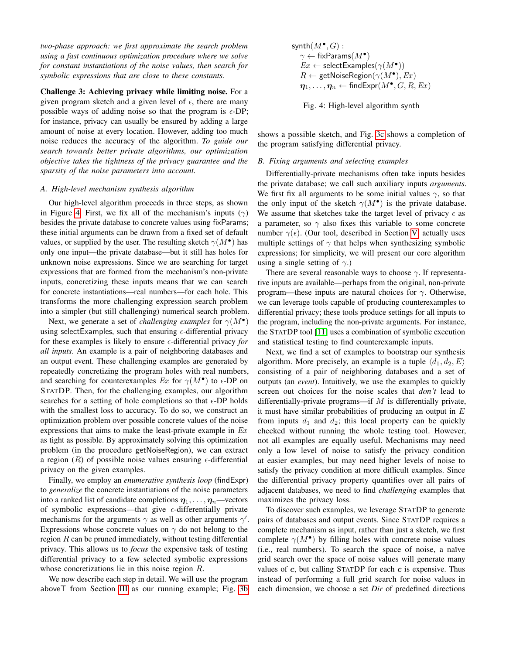*two-phase approach: we first approximate the search problem using a fast continuous optimization procedure where we solve for constant instantiations of the noise values, then search for symbolic expressions that are close to these constants.*

Challenge 3: Achieving privacy while limiting noise. For a given program sketch and a given level of  $\epsilon$ , there are many possible ways of adding noise so that the program is  $\epsilon$ -DP; for instance, privacy can usually be ensured by adding a large amount of noise at every location. However, adding too much noise reduces the accuracy of the algorithm. *To guide our search towards better private algorithms, our optimization objective takes the tightness of the privacy guarantee and the sparsity of the noise parameters into account.*

### *A. High-level mechanism synthesis algorithm*

Our high-level algorithm proceeds in three steps, as shown in Figure [4.](#page-5-0) First, we fix all of the mechanism's inputs  $(\gamma)$ besides the private database to concrete values using fixParams; these initial arguments can be drawn from a fixed set of default values, or supplied by the user. The resulting sketch  $\gamma(M^{\bullet})$  has only one input—the private database—but it still has holes for unknown noise expressions. Since we are searching for target expressions that are formed from the mechanism's non-private inputs, concretizing these inputs means that we can search for concrete instantiations—real numbers—for each hole. This transforms the more challenging expression search problem into a simpler (but still challenging) numerical search problem.

Next, we generate a set of *challenging examples* for  $\gamma(M^{\bullet})$ using selectExamples, such that ensuring  $\epsilon$ -differential privacy for these examples is likely to ensure  $\epsilon$ -differential privacy *for all inputs*. An example is a pair of neighboring databases and an output event. These challenging examples are generated by repeatedly concretizing the program holes with real numbers, and searching for counterexamples  $Ex$  for  $\gamma(M^{\bullet})$  to  $\epsilon$ -DP on STATDP. Then, for the challenging examples, our algorithm searches for a setting of hole completions so that  $\epsilon$ -DP holds with the smallest loss to accuracy. To do so, we construct an optimization problem over possible concrete values of the noise expressions that aims to make the least-private example in  $Ex$ as tight as possible. By approximately solving this optimization problem (in the procedure getNoiseRegion), we can extract a region  $(R)$  of possible noise values ensuring  $\epsilon$ -differential privacy on the given examples.

Finally, we employ an *enumerative synthesis loop* (findExpr) to *generalize* the concrete instantiations of the noise parameters into a ranked list of candidate completions  $\eta_1, \ldots, \eta_n$ —vectors of symbolic expressions—that give  $\epsilon$ -differentially private mechanisms for the arguments  $\gamma$  as well as other arguments  $\gamma'$ . Expressions whose concrete values on  $\gamma$  do not belong to the region  $R$  can be pruned immediately, without testing differential privacy. This allows us to *focus* the expensive task of testing differential privacy to a few selected symbolic expressions whose concretizations lie in this noise region R.

We now describe each step in detail. We will use the program aboveT from Section [III](#page-3-1) as our running example; Fig. [3b](#page-4-1) <span id="page-5-0"></span> $\mathsf{symbh}(M^\bullet,G):$  $\gamma \leftarrow \mathsf{fixParameters}(M^{\bullet})$  $Ex \leftarrow$  selectExamples $(\gamma(M^{\bullet}))$  $R \leftarrow$  getNoiseRegion $(\gamma(M^{\bullet}), Ex)$  $\eta_1, \ldots, \eta_n \leftarrow \textsf{findExpr}(M^\bullet, G, R, Ex)$ 

Fig. 4: High-level algorithm synth

shows a possible sketch, and Fig. [3c](#page-4-1) shows a completion of the program satisfying differential privacy.

#### *B. Fixing arguments and selecting examples*

Differentially-private mechanisms often take inputs besides the private database; we call such auxiliary inputs *arguments*. We first fix all arguments to be some initial values  $\gamma$ , so that the only input of the sketch  $\gamma(M^{\bullet})$  is the private database. We assume that sketches take the target level of privacy  $\epsilon$  as a parameter, so  $\gamma$  also fixes this variable to some concrete number  $\gamma(\epsilon)$ . (Our tool, described in Section [V,](#page-9-0) actually uses multiple settings of  $\gamma$  that helps when synthesizing symbolic expressions; for simplicity, we will present our core algorithm using a single setting of  $\gamma$ .)

There are several reasonable ways to choose  $\gamma$ . If representative inputs are available—perhaps from the original, non-private program—these inputs are natural choices for  $\gamma$ . Otherwise, we can leverage tools capable of producing counterexamples to differential privacy; these tools produce settings for all inputs to the program, including the non-private arguments. For instance, the STATDP tool [\[11\]](#page-13-8) uses a combination of symbolic execution and statistical testing to find counterexample inputs.

Next, we find a set of examples to bootstrap our synthesis algorithm. More precisely, an example is a tuple  $\langle d_1, d_2, E \rangle$ consisting of a pair of neighboring databases and a set of outputs (an *event*). Intuitively, we use the examples to quickly screen out choices for the noise scales that *don't* lead to differentially-private programs—if  $M$  is differentially private, it must have similar probabilities of producing an output in  $E$ from inputs  $d_1$  and  $d_2$ ; this local property can be quickly checked without running the whole testing tool. However, not all examples are equally useful. Mechanisms may need only a low level of noise to satisfy the privacy condition at easier examples, but may need higher levels of noise to satisfy the privacy condition at more difficult examples. Since the differential privacy property quantifies over all pairs of adjacent databases, we need to find *challenging* examples that maximizes the privacy loss.

To discover such examples, we leverage STATDP to generate pairs of databases and output events. Since STATDP requires a complete mechanism as input, rather than just a sketch, we first complete  $\gamma(M^{\bullet})$  by filling holes with concrete noise values (i.e., real numbers). To search the space of noise, a naïve grid search over the space of noise values will generate many values of  $c$ , but calling STATDP for each  $c$  is expensive. Thus instead of performing a full grid search for noise values in each dimension, we choose a set *Dir* of predefined directions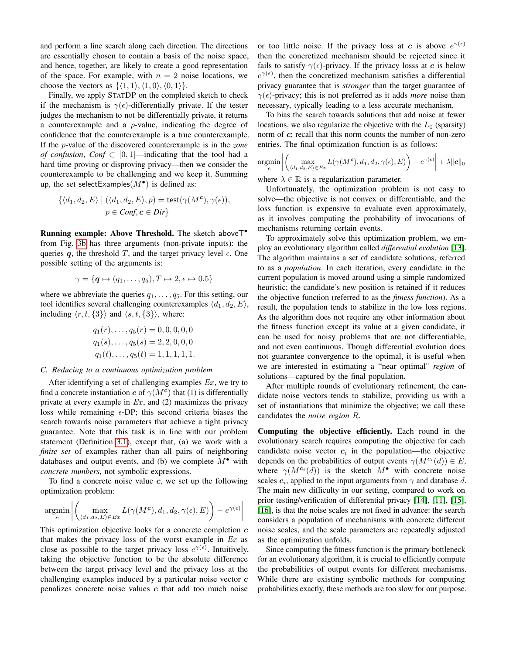and perform a line search along each direction. The directions are essentially chosen to contain a basis of the noise space, and hence, together, are likely to create a good representation of the space. For example, with  $n = 2$  noise locations, we choose the vectors as  $\{\langle 1, 1 \rangle, \langle 1, 0 \rangle, \langle 0, 1 \rangle\}.$ 

Finally, we apply STATDP on the completed sketch to check if the mechanism is  $\gamma(\epsilon)$ -differentially private. If the tester judges the mechanism to not be differentially private, it returns a counterexample and a  $p$ -value, indicating the degree of confidence that the counterexample is a true counterexample. If the p-value of the discovered counterexample is in the *zone of confusion, Conf*  $\subset$  [0, 1]—indicating that the tool had a hard time proving or disproving privacy—then we consider the counterexample to be challenging and we keep it. Summing up, the set selectExamples $(M^{\bullet})$  is defined as:

$$
\{\langle d_1, d_2, E \rangle \mid (\langle d_1, d_2, E \rangle, p) = \text{test}(\gamma(M^c), \gamma(\epsilon)),
$$
  

$$
p \in \text{Conf}, \mathbf{c} \in \text{Dir}\}
$$

Running example: Above Threshold. The sketch aboveT• from Fig. [3b](#page-4-1) has three arguments (non-private inputs): the queries q, the threshold T, and the target privacy level  $\epsilon$ . One possible setting of the arguments is:

$$
\gamma = {\mathbf{q} \mapsto (q_1, \dots, q_5), T \mapsto 2, \epsilon \mapsto 0.5}
$$

where we abbreviate the queries  $q_1, \ldots, q_5$ . For this setting, our tool identifies several challenging counterexamples  $\langle d_1, d_2, E \rangle$ , including  $\langle r, t, \{3\}\rangle$  and  $\langle s, t, \{3\}\rangle$ , where:

$$
q_1(r), \ldots, q_5(r) = 0, 0, 0, 0, 0
$$
  

$$
q_1(s), \ldots, q_5(s) = 2, 2, 0, 0, 0
$$
  

$$
q_1(t), \ldots, q_5(t) = 1, 1, 1, 1, 1.
$$

#### *C. Reducing to a continuous optimization problem*

After identifying a set of challenging examples  $Ex$ , we try to find a concrete instantiation c of  $\gamma(M^c)$  that (1) is differentially private at every example in  $Ex$ , and (2) maximizes the privacy loss while remaining  $\epsilon$ -DP; this second criteria biases the search towards noise parameters that achieve a tight privacy guarantee. Note that this task is in line with our problem statement (Definition [3.1\)](#page-4-2), except that, (a) we work with a *finite set* of examples rather than all pairs of neighboring databases and output events, and (b) we complete  $M^{\bullet}$  with *concrete numbers*, not symbolic expressions.

To find a concrete noise value  $c$ , we set up the following optimization problem:

$$
\underset{\mathbf{c}}{\operatorname{argmin}} \left| \left( \max_{\langle d_1, d_2, E \rangle \in Ex} L(\gamma(M^{\mathbf{c}}), d_1, d_2, \gamma(\epsilon), E) \right) - e^{\gamma(\epsilon)} \right|
$$

This optimization objective looks for a concrete completion  $c$ that makes the privacy loss of the worst example in  $Ex$  as close as possible to the target privacy loss  $e^{\gamma(\epsilon)}$ . Intuitively, taking the objective function to be the absolute difference between the target privacy level and the privacy loss at the challenging examples induced by a particular noise vector  $c$ penalizes concrete noise values  $c$  that add too much noise

or too little noise. If the privacy loss at c is above  $e^{\gamma(\epsilon)}$ then the concretized mechanism should be rejected since it fails to satisfy  $\gamma(\epsilon)$ -privacy. If the privacy losss at c is below  $e^{\gamma(\epsilon)}$ , then the concretized mechanism satisfies a differential privacy guarantee that is *stronger* than the target guarantee of  $\gamma(\epsilon)$ -privacy; this is not preferred as it adds *more* noise than necessary, typically leading to a less accurate mechanism.

To bias the search towards solutions that add noise at fewer locations, we also regularize the objective with the  $L_0$  (sparsity) norm of c; recall that this norm counts the number of non-zero entries. The final optimization function is as follows:

$$
\underset{\mathbf{c}}{\operatorname{argmin}} \left| \left( \max_{\langle d_1, d_2, E \rangle \in Ex} L(\gamma(M^{\mathbf{c}}), d_1, d_2, \gamma(\epsilon), E) \right) - e^{\gamma(\epsilon)} \right| + \lambda \| \mathbf{c} \|_0
$$

where  $\lambda \in \mathbb{R}$  is a regularization parameter.

Unfortunately, the optimization problem is not easy to solve—the objective is not convex or differentiable, and the loss function is expensive to evaluate even approximately, as it involves computing the probability of invocations of mechanisms returning certain events.

To approximately solve this optimization problem, we employ an evolutionary algorithm called *differential evolution* [\[13\]](#page-13-10). The algorithm maintains a set of candidate solutions, referred to as a *population*. In each iteration, every candidate in the current population is moved around using a simple randomized heuristic; the candidate's new position is retained if it reduces the objective function (referred to as the *fitness function*). As a result, the population tends to stabilize in the low loss regions. As the algorithm does not require any other information about the fitness function except its value at a given candidate, it can be used for noisy problems that are not differentiable, and not even continuous. Though differential evolution does not guarantee convergence to the optimal, it is useful when we are interested in estimating a "near optimal" *region* of solutions—captured by the final population.

After multiple rounds of evolutionary refinement, the candidate noise vectors tends to stabilize, providing us with a set of instantiations that minimize the objective; we call these candidates the *noise region* R.

Computing the objective efficiently. Each round in the evolutionary search requires computing the objective for each candidate noise vector  $c_i$  in the population—the objective depends on the probabilities of output events  $\gamma(M^{c_i}(d)) \in E$ , where  $\gamma(M^{c_i}(d))$  is the sketch  $M^{\bullet}$  with concrete noise scales  $c_i$ , applied to the input arguments from  $\gamma$  and database d. The main new difficulty in our setting, compared to work on prior testing/verification of differential privacy [\[14\]](#page-13-11), [\[11\]](#page-13-8), [\[15\]](#page-13-12), [\[16\]](#page-13-13), is that the noise scales are not fixed in advance: the search considers a population of mechanisms with concrete different noise scales, and the scale parameters are repeatedly adjusted as the optimization unfolds.

Since computing the fitness function is the primary bottleneck for an evolutionary algorithm, it is crucial to efficiently compute the probabilities of output events for different mechanisms. While there are existing symbolic methods for computing probabilities exactly, these methods are too slow for our purpose.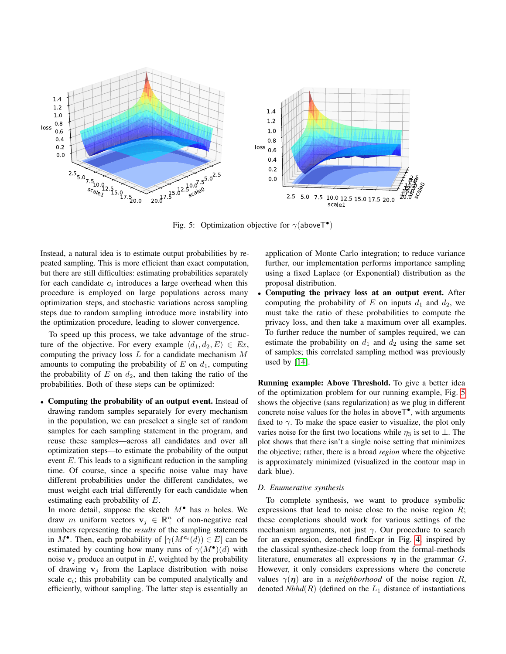<span id="page-7-0"></span>

Fig. 5: Optimization objective for  $\gamma$ (aboveT<sup>•</sup>)

Instead, a natural idea is to estimate output probabilities by repeated sampling. This is more efficient than exact computation, but there are still difficulties: estimating probabilities separately for each candidate  $c_i$  introduces a large overhead when this procedure is employed on large populations across many optimization steps, and stochastic variations across sampling steps due to random sampling introduce more instability into the optimization procedure, leading to slower convergence.

To speed up this process, we take advantage of the structure of the objective. For every example  $\langle d_1, d_2, E \rangle \in Ex$ , computing the privacy loss  $L$  for a candidate mechanism  $M$ amounts to computing the probability of  $E$  on  $d_1$ , computing the probability of  $E$  on  $d_2$ , and then taking the ratio of the probabilities. Both of these steps can be optimized:

• Computing the probability of an output event. Instead of drawing random samples separately for every mechanism in the population, we can preselect a single set of random samples for each sampling statement in the program, and reuse these samples—across all candidates and over all optimization steps—to estimate the probability of the output event E. This leads to a significant reduction in the sampling time. Of course, since a specific noise value may have different probabilities under the different candidates, we must weight each trial differently for each candidate when estimating each probability of E.

In more detail, suppose the sketch  $M^{\bullet}$  has n holes. We draw m uniform vectors  $v_j \in \mathbb{R}^n_+$  of non-negative real numbers representing the *results* of the sampling statements in  $M^{\bullet}$ . Then, each probability of  $[\gamma(M^{c_i}(d)) \in E]$  can be estimated by counting how many runs of  $\gamma(M^{\bullet})(d)$  with noise  $v_i$  produce an output in E, weighted by the probability of drawing  $v_i$  from the Laplace distribution with noise scale  $c_i$ ; this probability can be computed analytically and efficiently, without sampling. The latter step is essentially an application of Monte Carlo integration; to reduce variance further, our implementation performs importance sampling using a fixed Laplace (or Exponential) distribution as the proposal distribution.

• Computing the privacy loss at an output event. After computing the probability of E on inputs  $d_1$  and  $d_2$ , we must take the ratio of these probabilities to compute the privacy loss, and then take a maximum over all examples. To further reduce the number of samples required, we can estimate the probability on  $d_1$  and  $d_2$  using the same set of samples; this correlated sampling method was previously used by [\[14\]](#page-13-11).

Running example: Above Threshold. To give a better idea of the optimization problem for our running example, Fig. [5](#page-7-0) shows the objective (sans regularization) as we plug in different concrete noise values for the holes in above  $T^{\bullet}$ , with arguments fixed to  $\gamma$ . To make the space easier to visualize, the plot only varies noise for the first two locations while  $\eta_3$  is set to ⊥. The plot shows that there isn't a single noise setting that minimizes the objective; rather, there is a broad *region* where the objective is approximately minimized (visualized in the contour map in dark blue).

#### <span id="page-7-1"></span>*D. Enumerative synthesis*

To complete synthesis, we want to produce symbolic expressions that lead to noise close to the noise region  $R$ ; these completions should work for various settings of the mechanism arguments, not just  $\gamma$ . Our procedure to search for an expression, denoted findExpr in Fig. [4,](#page-5-0) inspired by the classical synthesize-check loop from the formal-methods literature, enumerates all expressions  $\eta$  in the grammar G. However, it only considers expressions where the concrete values  $\gamma(\eta)$  are in a *neighborhood* of the noise region R, denoted *Nbhd*( $R$ ) (defined on the  $L_1$  distance of instantiations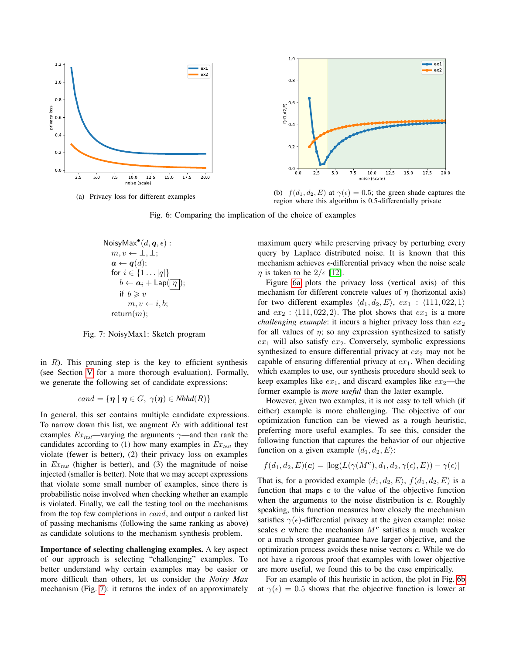<span id="page-8-1"></span>

<span id="page-8-0"></span>(a) Privacy loss for different examples



(b)  $f(d_1, d_2, E)$  at  $\gamma(\epsilon) = 0.5$ ; the green shade captures the region where this algorithm is 0.5-differentially private

Fig. 6: Comparing the implication of the choice of examples

NoisyMax<sup>•</sup> 
$$
(d, q, \epsilon)
$$
:  
\n $m, v \leftarrow \bot, \bot;$   
\n $a \leftarrow q(d);$   
\nfor  $i \in \{1 \dots |q|\}$   
\n $b \leftarrow a_i + \text{Lap}(\boxed{\eta});$   
\nif  $b \ge v$   
\n $m, v \leftarrow i, b;$   
\nreturn $(m);$ 

Fig. 7: NoisyMax1: Sketch program

in  $R$ ). This pruning step is the key to efficient synthesis (see Section [V](#page-9-0) for a more thorough evaluation). Formally, we generate the following set of candidate expressions:

$$
cand = \{ \eta \mid \eta \in G, \ \gamma(\eta) \in Nbhd(R) \}
$$

In general, this set contains multiple candidate expressions. To narrow down this list, we augment  $Ex$  with additional test examples  $Ex_{test}$ —varying the arguments  $\gamma$ —and then rank the candidates according to  $(1)$  how many examples in  $Ex<sub>test</sub>$  they violate (fewer is better), (2) their privacy loss on examples in  $Ex_{test}$  (higher is better), and (3) the magnitude of noise injected (smaller is better). Note that we may accept expressions that violate some small number of examples, since there is probabilistic noise involved when checking whether an example is violated. Finally, we call the testing tool on the mechanisms from the top few completions in cand, and output a ranked list of passing mechanisms (following the same ranking as above) as candidate solutions to the mechanism synthesis problem.

Importance of selecting challenging examples. A key aspect of our approach is selecting "challenging" examples. To better understand why certain examples may be easier or more difficult than others, let us consider the *Noisy Max* mechanism (Fig. [7\)](#page-8-0): it returns the index of an approximately maximum query while preserving privacy by perturbing every query by Laplace distributed noise. It is known that this mechanism achieves  $\epsilon$ -differential privacy when the noise scale  $\eta$  is taken to be  $2/\epsilon$  [\[12\]](#page-13-9).

Figure [6a](#page-8-1) plots the privacy loss (vertical axis) of this mechanism for different concrete values of  $\eta$  (horizontal axis) for two different examples  $\langle d_1, d_2, E \rangle$ ,  $ex_1$  :  $\langle 111, 022, 1 \rangle$ and  $ex_2$ :  $\langle 111, 022, 2 \rangle$ . The plot shows that  $ex_1$  is a more *challenging example*: it incurs a higher privacy loss than  $ex_2$ for all values of  $\eta$ ; so any expression synthesized to satisfy  $ex_1$  will also satisfy  $ex_2$ . Conversely, symbolic expressions synthesized to ensure differential privacy at  $ex_2$  may not be capable of ensuring differential privacy at  $ex_1$ . When deciding which examples to use, our synthesis procedure should seek to keep examples like  $ex_1$ , and discard examples like  $ex_2$ —the former example is *more useful* than the latter example.

However, given two examples, it is not easy to tell which (if either) example is more challenging. The objective of our optimization function can be viewed as a rough heuristic, preferring more useful examples. To see this, consider the following function that captures the behavior of our objective function on a given example  $\langle d_1, d_2, E \rangle$ :

$$
f(d_1, d_2, E)(\mathbf{c}) = |\log(L(\gamma(M^{\mathbf{c}}), d_1, d_2, \gamma(\epsilon), E)) - \gamma(\epsilon)|
$$

That is, for a provided example  $\langle d_1, d_2, E \rangle$ ,  $f(d_1, d_2, E)$  is a function that maps  $c$  to the value of the objective function when the arguments to the noise distribution is  $c$ . Roughly speaking, this function measures how closely the mechanism satisfies  $\gamma(\epsilon)$ -differential privacy at the given example: noise scales  $c$  where the mechanism  $M<sup>c</sup>$  satisfies a much weaker or a much stronger guarantee have larger objective, and the optimization process avoids these noise vectors c. While we do not have a rigorous proof that examples with lower objective are more useful, we found this to be the case empirically.

For an example of this heuristic in action, the plot in Fig. [6b](#page-8-1) at  $\gamma(\epsilon) = 0.5$  shows that the objective function is lower at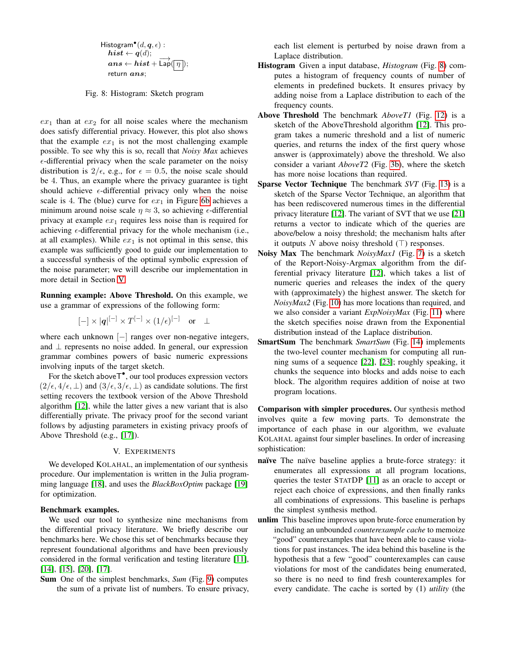<span id="page-9-1"></span>Histogram $^{\bullet}(d,\bm{q},\epsilon)$ :  $\boldsymbol{hist} \leftarrow \boldsymbol{q}(d);$  $ans \leftarrow hist + \overrightarrow{\text{Lap}}(\boxed{\eta});$ return ans;

Fig. 8: Histogram: Sketch program

 $ex_1$  than at  $ex_2$  for all noise scales where the mechanism does satisfy differential privacy. However, this plot also shows that the example  $ex_1$  is not the most challenging example possible. To see why this is so, recall that *Noisy Max* achieves  $\epsilon$ -differential privacy when the scale parameter on the noisy distribution is  $2/\epsilon$ , e.g., for  $\epsilon = 0.5$ , the noise scale should be 4. Thus, an example where the privacy guarantee is tight should achieve  $\epsilon$ -differential privacy only when the noise scale is 4. The (blue) curve for  $ex_1$  in Figure [6b](#page-8-1) achieves a minimum around noise scale  $\eta \approx 3$ , so achieving  $\epsilon$ -differential privacy at example  $ex_1$  requires less noise than is required for achieving  $\epsilon$ -differential privacy for the whole mechanism (i.e., at all examples). While  $ex_1$  is not optimal in this sense, this example was sufficiently good to guide our implementation to a successful synthesis of the optimal symbolic expression of the noise parameter; we will describe our implementation in more detail in Section [V.](#page-9-0)

Running example: Above Threshold. On this example, we use a grammar of expressions of the following form:

$$
[-] \times |q|^{[-]} \times T^{[-]} \times (1/\epsilon)^{[-]} \quad \text{or} \quad \perp
$$

where each unknown [−] ranges over non-negative integers, and ⊥ represents no noise added. In general, our expression grammar combines powers of basic numeric expressions involving inputs of the target sketch.

For the sketch above T<sup>•</sup>, our tool produces expression vectors  $(2/\epsilon, 4/\epsilon, \perp)$  and  $(3/\epsilon, 3/\epsilon, \perp)$  as candidate solutions. The first setting recovers the textbook version of the Above Threshold algorithm [\[12\]](#page-13-9), while the latter gives a new variant that is also differentially private. The privacy proof for the second variant follows by adjusting parameters in existing privacy proofs of Above Threshold (e.g., [\[17\]](#page-13-14)).

## V. EXPERIMENTS

<span id="page-9-0"></span>We developed KOLAHAL, an implementation of our synthesis procedure. Our implementation is written in the Julia programming language [\[18\]](#page-13-15), and uses the *BlackBoxOptim* package [\[19\]](#page-13-16) for optimization.

## Benchmark examples.

We used our tool to synthesize nine mechanisms from the differential privacy literature. We briefly describe our benchmarks here. We chose this set of benchmarks because they represent foundational algorithms and have been previously considered in the formal verification and testing literature [\[11\]](#page-13-8), [\[14\]](#page-13-11), [\[15\]](#page-13-12), [\[20\]](#page-13-17), [\[17\]](#page-13-14).

Sum One of the simplest benchmarks, *Sum* (Fig. [9\)](#page-10-0) computes the sum of a private list of numbers. To ensure privacy, each list element is perturbed by noise drawn from a Laplace distribution.

- Histogram Given a input database, *Histogram* (Fig. [8\)](#page-9-1) computes a histogram of frequency counts of number of elements in predefined buckets. It ensures privacy by adding noise from a Laplace distribution to each of the frequency counts.
- Above Threshold The benchmark *AboveT1* (Fig. [12\)](#page-10-1) is a sketch of the AboveThreshold algorithm [\[12\]](#page-13-9). This program takes a numeric threshold and a list of numeric queries, and returns the index of the first query whose answer is (approximately) above the threshold. We also consider a variant *AboveT2* (Fig. [3b\)](#page-4-1), where the sketch has more noise locations than required.
- Sparse Vector Technique The benchmark *SVT* (Fig. [13\)](#page-10-1) is a sketch of the Sparse Vector Technique, an algorithm that has been rediscovered numerous times in the differential privacy literature [\[12\]](#page-13-9). The variant of SVT that we use [\[21\]](#page-13-18) returns a vector to indicate which of the queries are above/below a noisy threshold; the mechanism halts after it outputs N above noisy threshold  $(T)$  responses.
- Noisy Max The benchmark *NoisyMax1* (Fig. [7\)](#page-8-0) is a sketch of the Report-Noisy-Argmax algorithm from the differential privacy literature [\[12\]](#page-13-9), which takes a list of numeric queries and releases the index of the query with (approximately) the highest answer. The sketch for *NoisyMax2* (Fig. [10\)](#page-10-0) has more locations than required, and we also consider a variant *ExpNoisyMax* (Fig. [11\)](#page-10-0) where the sketch specifies noise drawn from the Exponential distribution instead of the Laplace distribution.
- SmartSum The benchmark *SmartSum* (Fig. [14\)](#page-10-1) implements the two-level counter mechanism for computing all running sums of a sequence [\[22\]](#page-13-19), [\[23\]](#page-13-20); roughly speaking, it chunks the sequence into blocks and adds noise to each block. The algorithm requires addition of noise at two program locations.

Comparison with simpler procedures. Our synthesis method involves quite a few moving parts. To demonstrate the importance of each phase in our algorithm, we evaluate KOLAHAL against four simpler baselines. In order of increasing sophistication:

- naïve The naïve baseline applies a brute-force strategy: it enumerates all expressions at all program locations, queries the tester STATDP [\[11\]](#page-13-8) as an oracle to accept or reject each choice of expressions, and then finally ranks all combinations of expressions. This baseline is perhaps the simplest synthesis method.
- unlim This baseline improves upon brute-force enumeration by including an unbounded *counterexample cache* to memoize "good" counterexamples that have been able to cause violations for past instances. The idea behind this baseline is the hypothesis that a few "good" counterexamples can cause violations for most of the candidates being enumerated, so there is no need to find fresh counterexamples for every candidate. The cache is sorted by (1) *utility* (the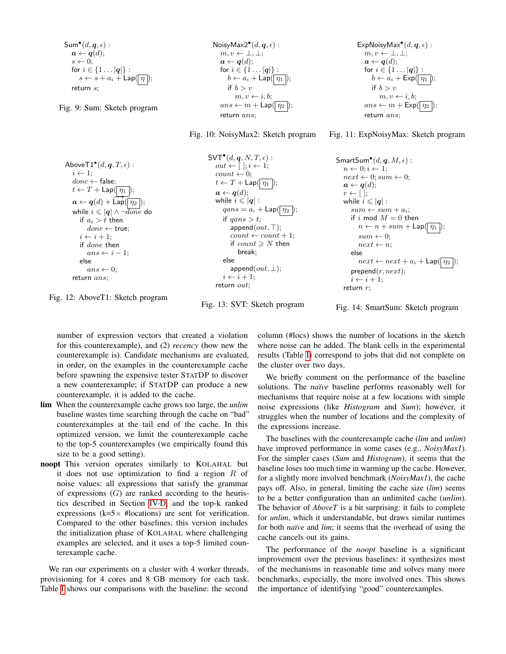```
\mathsf{Sum}^\bullet(d, \bm{q}, \epsilon) :
   a \leftarrow q(d);s \leftarrow 0:
   for i \in \{1 \dots |q|\}:
        s \leftarrow s + a_i + \textsf{Lap}(\mid \eta \mid);return s;
```
Fig. 9: Sum: Sketch program

NoisyMax2 $^{\bullet}(d, \boldsymbol{q}, \epsilon)$ :  $m, v \leftarrow \perp, \perp;$  $a \leftarrow q(d);$ for  $i \in \{1 \dots |q|\}$ :  $b \leftarrow a_i + \mathsf{Lap}(\mid \eta_1 \mid);$ if  $b > v$  $m, v \leftarrow i, b;$  $ans \leftarrow m + \mathsf{Lap}(\boxed{\eta_2}$ return ans;

Fig. 10: NoisyMax2: Sketch program

```
ExpNoisyMax<sup>•</sup>(d, \boldsymbol{q}, \epsilon):
   m, v \leftarrow \perp, \perp;a \leftarrow q(d);for i \in \{1 \dots |q|\}:
       b \leftarrow a_i + \mathsf{Exp}(\boxed{\eta_1});
       if b > vm, v \leftarrow i, b;ans \leftarrow m + \text{Exp}(\sqrt{n_2})return ans;
```


<span id="page-10-1"></span>

| Above $\mathsf{T1}^\bullet(d,q,T,\epsilon)$ :<br>$i \leftarrow 1$<br>$done \leftarrow false$ :                                      | $SVT^{\bullet}(d,q,N,T,\epsilon):$<br>$out \leftarrow [~]; i \leftarrow 1;$<br>$count \leftarrow 0$ ;       | $SmartSum^{\bullet}(d, q, M, \epsilon)$ :<br>$n \leftarrow 0; i \leftarrow 1;$<br>$next \leftarrow 0; sum \leftarrow 0;$ |
|-------------------------------------------------------------------------------------------------------------------------------------|-------------------------------------------------------------------------------------------------------------|--------------------------------------------------------------------------------------------------------------------------|
| $t \leftarrow T + \mathsf{Lap}(\mid \eta_1 \mid);$<br>$\boldsymbol{a} \leftarrow \boldsymbol{q}(d) + \textsf{Lap}(\boxed{\eta_2});$ | $t \leftarrow T + \mathsf{Lap}(\lceil \eta_1 \rceil);$<br>$a \leftarrow q(d);$<br>while $i \leqslant  q $ : | $a \leftarrow q(d);$<br>$r \leftarrow  $<br>while $i \leqslant  q $ :                                                    |
| while $i \leqslant  q  \wedge \neg \overline{done}$ do<br>if $a_i > t$ then                                                         | $qans = a_i + \text{Lap}(\mid \eta_2 \mid);$<br>if $qans > t$ ;                                             | $sum \leftarrow sum + a_i;$<br>if i mod $M = 0$ then                                                                     |
| $done \leftarrow true$<br>$i \leftarrow i + 1$ ;                                                                                    | append $(out, \top);$<br>$count \leftarrow count + 1;$<br>if $count \geq N$ then                            | $n \leftarrow n + sum + \textsf{Lap}(\mid \eta_1 \mid);$<br>$sum \leftarrow 0$                                           |
| if <i>done</i> then<br>$ans \leftarrow i-1$<br>else                                                                                 | break:<br>else                                                                                              | $next \leftarrow n$<br>else<br>$next \leftarrow next + a_i + \text{Lap}(\mid \eta_2 \mid);$                              |
| $ans \leftarrow 0$<br>return ans;                                                                                                   | $append(out, \perp);$<br>$i \leftarrow i+1$ ;<br>return $out$ :                                             | prepend(r, next);<br>$i \leftarrow i+1$ ;<br>return $r$ :                                                                |

Fig. 12: AboveT1: Sketch program

Fig. 13: SVT: Sketch program

```
Fig. 14: SmartSum: Sketch program
```
number of expression vectors that created a violation for this counterexample), and (2) *recency* (how new the counterexample is). Candidate mechanisms are evaluated, in order, on the examples in the counterexample cache before spawning the expensive tester STATDP to discover a new counterexample; if STATDP can produce a new counterexample, it is added to the cache.

- lim When the counterexample cache grows too large, the *unlim* baseline wastes time searching through the cache on "bad" counterexamples at the tail end of the cache. In this optimized version, we limit the counterexample cache to the top-5 counterexamples (we empirically found this size to be a good setting).
- noopt This version operates similarly to KOLAHAL but it does not use optimization to find a region  $R$  of noise values: all expressions that satisfy the grammar of expressions  $(G)$  are ranked according to the heuristics described in Section [IV-D,](#page-7-1) and the top-k ranked expressions ( $k=5\times$  #locations) are sent for verification. Compared to the other baselines, this version includes the initialization phase of KOLAHAL where challenging examples are selected, and it uses a top-5 limited counterexample cache.

We ran our experiments on a cluster with 4 worker threads, provisioning for 4 cores and 8 GB memory for each task. Table [I](#page-11-1) shows our comparisons with the baseline: the second

column (#locs) shows the number of locations in the sketch where noise can be added. The blank cells in the experimental results (Table [I\)](#page-11-1) correspond to jobs that did not complete on the cluster over two days.

We briefly comment on the performance of the baseline solutions. The *naïve* baseline performs reasonably well for mechanisms that require noise at a few locations with simple noise expressions (like *Histogram* and *Sum*); however, it struggles when the number of locations and the complexity of the expressions increase.

The baselines with the counterexample cache (*lim* and *unlim*) have improved performance in some cases (e.g., *NoisyMax1*). For the simpler cases (*Sum* and *Histogram*), it seems that the baseline loses too much time in warming up the cache. However, for a slightly more involved benchmark (*NoisyMax1*), the cache pays off. Also, in general, limiting the cache size (*lim*) seems to be a better configuration than an unlimited cache (*unlim*). The behavior of *AboveT* is a bit surprising: it fails to complete for *unlim*, which it understandable, but draws similar runtimes for both *naïve* and *lim*; it seems that the overhead of using the cache cancels out its gains.

The performance of the *noopt* baseline is a significant improvement over the previous baselines: it synthesizes most of the mechanisms in reasonable time and solves many more benchmarks, especially, the more involved ones. This shows the importance of identifying "good" counterexamples.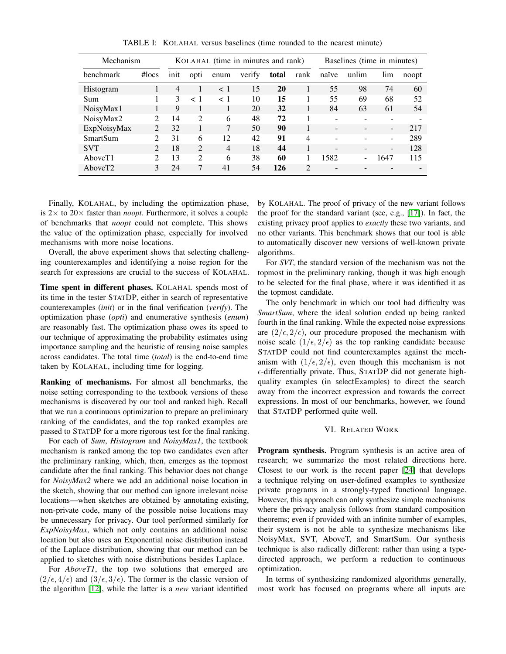<span id="page-11-1"></span>

| Mechanism                   |      | KOLAHAL (time in minutes and rank) |                |        |       | Baselines (time in minutes) |                          |       |                          |       |
|-----------------------------|------|------------------------------------|----------------|--------|-------|-----------------------------|--------------------------|-------|--------------------------|-------|
| $\#$ locs                   | init | opti                               | enum           | verify | total | rank                        | naïve                    | unlim | lim                      | noopt |
|                             | 4    |                                    | < 1            | 15     | 20    |                             | 55                       | 98    | 74                       | 60    |
|                             | 3    | $\langle$ 1                        | $<$ 1          | 10     | 15    |                             | 55                       | 69    | 68                       | 52    |
|                             | 9    |                                    |                | 20     | 32    |                             | 84                       | 63    | 61                       | 54    |
| $\mathcal{D}_{\mathcal{L}}$ | 14   | $\mathfrak{D}$                     | 6              | 48     | 72    |                             | $\overline{\phantom{0}}$ |       | $\overline{\phantom{0}}$ |       |
| $\mathcal{D}_{\mathcal{L}}$ | 32   |                                    |                | 50     | 90    |                             | $\overline{\phantom{0}}$ |       | $\overline{\phantom{a}}$ | 217   |
| $\mathcal{D}$               | 31   | 6                                  | 12             | 42     | 91    | $\overline{\mathcal{A}}$    |                          |       | $\blacksquare$           | 289   |
| $\mathcal{D}$               | 18   | $\mathcal{L}$                      | $\overline{4}$ | 18     | 44    | 1                           | $\overline{\phantom{a}}$ |       | $\overline{\phantom{a}}$ | 128   |
| $\mathcal{D}$               | 13   | $\mathcal{D}_{\mathcal{L}}$        | 6              | 38     | 60    |                             | 1582                     |       | 1647                     | 115   |
| 3                           | 24   | 7                                  | 41             | 54     | 126   | $\mathcal{D}$               |                          |       |                          |       |
|                             |      |                                    |                |        |       |                             |                          |       |                          |       |

TABLE I: KOLAHAL versus baselines (time rounded to the nearest minute)

Finally, KOLAHAL, by including the optimization phase, is  $2 \times$  to  $20 \times$  faster than *noopt*. Furthermore, it solves a couple of benchmarks that *noopt* could not complete. This shows the value of the optimization phase, especially for involved mechanisms with more noise locations.

Overall, the above experiment shows that selecting challenging counterexamples and identifying a noise region for the search for expressions are crucial to the success of KOLAHAL.

Time spent in different phases. KOLAHAL spends most of its time in the tester STATDP, either in search of representative counterexamples (*init*) or in the final verification (*verify*). The optimization phase (*opti*) and enumerative synthesis (*enum*) are reasonably fast. The optimization phase owes its speed to our technique of approximating the probability estimates using importance sampling and the heuristic of reusing noise samples across candidates. The total time (*total*) is the end-to-end time taken by KOLAHAL, including time for logging.

Ranking of mechanisms. For almost all benchmarks, the noise setting corresponding to the textbook versions of these mechanisms is discovered by our tool and ranked high. Recall that we run a continuous optimization to prepare an preliminary ranking of the candidates, and the top ranked examples are passed to STATDP for a more rigorous test for the final ranking.

For each of *Sum*, *Histogram* and *NoisyMax1*, the textbook mechanism is ranked among the top two candidates even after the preliminary ranking, which, then, emerges as the topmost candidate after the final ranking. This behavior does not change for *NoisyMax2* where we add an additional noise location in the sketch, showing that our method can ignore irrelevant noise locations—when sketches are obtained by annotating existing, non-private code, many of the possible noise locations may be unnecessary for privacy. Our tool performed similarly for *ExpNoisyMax*, which not only contains an additional noise location but also uses an Exponential noise distribution instead of the Laplace distribution, showing that our method can be applied to sketches with noise distributions besides Laplace.

For *AboveT1*, the top two solutions that emerged are  $(2/\epsilon, 4/\epsilon)$  and  $(3/\epsilon, 3/\epsilon)$ . The former is the classic version of the algorithm [\[12\]](#page-13-9), while the latter is a *new* variant identified by KOLAHAL. The proof of privacy of the new variant follows the proof for the standard variant (see, e.g., [\[17\]](#page-13-14)). In fact, the existing privacy proof applies to *exactly* these two variants, and no other variants. This benchmark shows that our tool is able to automatically discover new versions of well-known private algorithms.

For *SVT*, the standard version of the mechanism was not the topmost in the preliminary ranking, though it was high enough to be selected for the final phase, where it was identified it as the topmost candidate.

The only benchmark in which our tool had difficulty was *SmartSum*, where the ideal solution ended up being ranked fourth in the final ranking. While the expected noise expressions are  $(2/\epsilon, 2/\epsilon)$ , our procedure proposed the mechanism with noise scale  $(1/\epsilon, 2/\epsilon)$  as the top ranking candidate because STATDP could not find counterexamples against the mechanism with  $(1/\epsilon, 2/\epsilon)$ , even though this mechanism is not  $\epsilon$ -differentially private. Thus, STATDP did not generate highquality examples (in selectExamples) to direct the search away from the incorrect expression and towards the correct expressions. In most of our benchmarks, however, we found that STATDP performed quite well.

## VI. RELATED WORK

<span id="page-11-0"></span>Program synthesis. Program synthesis is an active area of research; we summarize the most related directions here. Closest to our work is the recent paper [\[24\]](#page-13-21) that develops a technique relying on user-defined examples to synthesize private programs in a strongly-typed functional language. However, this approach can only synthesize simple mechanisms where the privacy analysis follows from standard composition theorems; even if provided with an infinite number of examples, their system is not be able to synthesize mechanisms like NoisyMax, SVT, AboveT, and SmartSum. Our synthesis technique is also radically different: rather than using a typedirected approach, we perform a reduction to continuous optimization.

In terms of synthesizing randomized algorithms generally, most work has focused on programs where all inputs are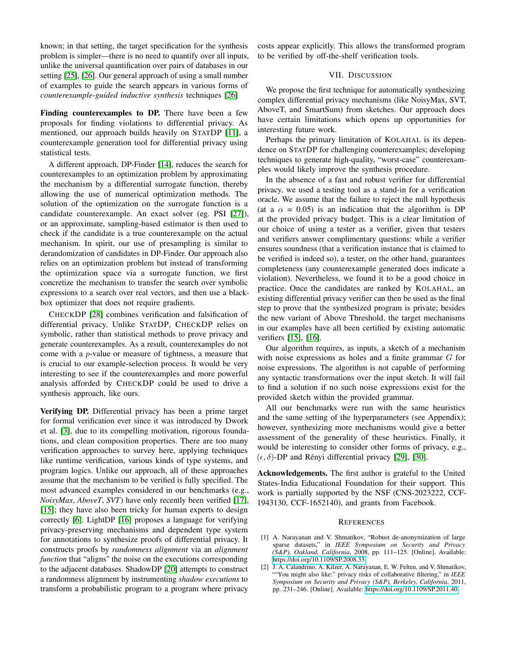known; in that setting, the target specification for the synthesis problem is simpler—there is no need to quantify over all inputs, unlike the universal quantification over pairs of databases in our setting [\[25\]](#page-13-22), [\[26\]](#page-13-23). Our general approach of using a small number of examples to guide the search appears in various forms of *counterexample-guided inductive synthesis* techniques [\[26\]](#page-13-23)

Finding counterexamples to DP. There have been a few proposals for finding violations to differential privacy. As mentioned, our approach builds heavily on STATDP [\[11\]](#page-13-8), a counterexample generation tool for differential privacy using statistical tests.

A different approach, DP-Finder [\[14\]](#page-13-11), reduces the search for counterexamples to an optimization problem by approximating the mechanism by a differential surrogate function, thereby allowing the use of numerical optimization methods. The solution of the optimization on the surrogate function is a candidate counterexample. An exact solver (eg. PSI [\[27\]](#page-13-24)), or an approximate, sampling-based estimator is then used to check if the candidate is a true counterexample on the actual mechanism. In spirit, our use of presampling is similar to derandomization of candidates in DP-Finder. Our approach also relies on an optimization problem but instead of transforming the optimization space via a surrogate function, we first concretize the mechanism to transfer the search over symbolic expressions to a search over real vectors, and then use a blackbox optimizer that does not require gradients.

CHECKDP [\[28\]](#page-13-25) combines verification and falsification of differential privacy. Unlike STATDP, CHECKDP relies on symbolic, rather than statistical methods to prove privacy and generate counterexamples. As a result, counterexamples do not come with a p-value or measure of tightness, a measure that is crucial to our example-selection process. It would be very interesting to see if the counterexamples and more powerful analysis afforded by CHECKDP could be used to drive a synthesis approach, like ours.

Verifying DP. Differential privacy has been a prime target for formal verification ever since it was introduced by Dwork et al. [\[3\]](#page-13-0), due to its compelling motivation, rigorous foundations, and clean composition properties. There are too many verification approaches to survey here, applying techniques like runtime verification, various kinds of type systems, and program logics. Unlike our approach, all of these approaches assume that the mechanism to be verified is fully specified. The most advanced examples considered in our benchmarks (e.g., *NoisyMax*, *AboveT*, *SVT*) have only recently been verified [\[17\]](#page-13-14), [\[15\]](#page-13-12); they have also been tricky for human experts to design correctly [\[6\]](#page-13-3). LightDP [\[16\]](#page-13-13) proposes a language for verifying privacy-preserving mechanisms and dependent type system for annotations to synthesize proofs of differential privacy. It constructs proofs by *randomness alignment* via an *alignment function* that "aligns" the noise on the executions corresponding to the adjacent databases. ShadowDP [\[20\]](#page-13-17) attempts to construct a randomness alignment by instrumenting *shadow executions* to transform a probabilistic program to a program where privacy

costs appear explicitly. This allows the transformed program to be verified by off-the-shelf verification tools.

## VII. DISCUSSION

<span id="page-12-2"></span>We propose the first technique for automatically synthesizing complex differential privacy mechanisms (like NoisyMax, SVT, AboveT, and SmartSum) from sketches. Our approach does have certain limitations which opens up opportunities for interesting future work.

Perhaps the primary limitation of KOLAHAL is its dependence on STATDP for challenging counterexamples; developing techniques to generate high-quality, "worst-case" counterexamples would likely improve the synthesis procedure.

In the absence of a fast and robust verifier for differential privacy, we used a testing tool as a stand-in for a verification oracle. We assume that the failure to reject the null hypothesis (at a  $\alpha = 0.05$ ) is an indication that the algorithm is DP at the provided privacy budget. This is a clear limitation of our choice of using a tester as a verifier, given that testers and verifiers answer complimentary questions: while a verifier ensures soundness (that a verification instance that is claimed to be verified is indeed so), a tester, on the other hand, guarantees completeness (any counterexample generated does indicate a violation). Nevertheless, we found it to be a good choice in practice. Once the candidates are ranked by KOLAHAL, an existing differential privacy verifier can then be used as the final step to prove that the synthesized program is private; besides the new variant of Above Threshold, the target mechanisms in our examples have all been certified by existing automatic verifiers [\[15\]](#page-13-12), [\[16\]](#page-13-13).

Our algorithm requires, as inputs, a sketch of a mechanism with noise expressions as holes and a finite grammar G for noise expressions. The algorithm is not capable of performing any syntactic transformations over the input sketch. It will fail to find a solution if no such noise expressions exist for the provided sketch within the provided grammar.

All our benchmarks were run with the same heuristics and the same setting of the hyperparameters (see Appendix); however, synthesizing more mechanisms would give a better assessment of the generality of these heuristics. Finally, it would be interesting to consider other forms of privacy, e.g.,  $(\epsilon, \delta)$ -DP and Rényi differential privacy [\[29\]](#page-13-26), [\[30\]](#page-13-27).

Acknowledgements. The first author is grateful to the United States-India Educational Foundation for their support. This work is partially supported by the NSF (CNS-2023222, CCF-1943130, CCF-1652140), and grants from Facebook.

#### **REFERENCES**

- <span id="page-12-0"></span>[1] A. Narayanan and V. Shmatikov, "Robust de-anonymization of large sparse datasets," in *IEEE Symposium on Security and Privacy (S&P), Oakland, California*, 2008, pp. 111–125. [Online]. Available: <https://doi.org/10.1109/SP.2008.33>
- <span id="page-12-1"></span>[2] J. A. Calandrino, A. Kilzer, A. Narayanan, E. W. Felten, and V. Shmatikov, "You might also like:" privacy risks of collaborative filtering," in *IEEE Symposium on Security and Privacy (S&P), Berkeley, California*, 2011, pp. 231–246. [Online]. Available:<https://doi.org/10.1109/SP.2011.40>